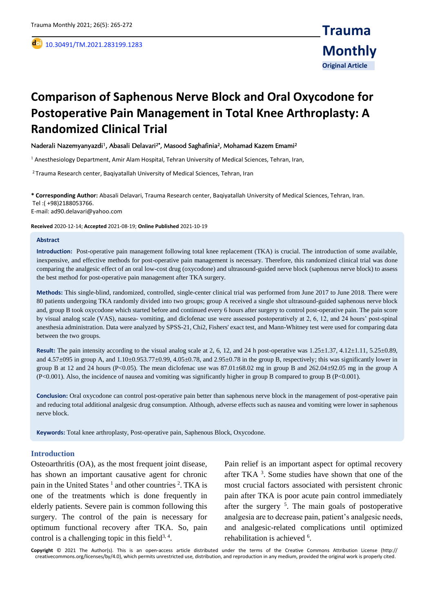,

# **Comparison of Saphenous Nerve Block and Oral Oxycodone for Postoperative Pain Management in Total Knee Arthroplasty: A Randomized Clinical Trial**

### Naderali Nazemyanyazdi<sup>1</sup>, Abasali Delavari<sup>2\*</sup>, Masood Saghafinia<sup>2</sup>, Mohamad Kazem Emami<sup>2</sup>

<sup>1</sup> Anesthesiology Department, Amir Alam Hospital, Tehran University of Medical Sciences, Tehran, Iran,

<sup>2</sup>Trauma Research center, Baqiyatallah University of Medical Sciences, Tehran, Iran

**\* Corresponding Author:** Abasali Delavari, Trauma Research center, Baqiyatallah University of Medical Sciences, Tehran, Iran. Tel :( +98)2188053766. E-mail: ad90.delavari@yahoo.com

**Received** 2020-12-14; **Accepted** 2021-08-19; **Online Published** 2021-10-19

#### **Abstract**

**Introduction:** Post-operative pain management following total knee replacement (TKA) is crucial. The introduction of some available, inexpensive, and effective methods for post-operative pain management is necessary. Therefore, this randomized clinical trial was done comparing the analgesic effect of an oral low-cost drug (oxycodone) and ultrasound-guided nerve block (saphenous nerve block) to assess the best method for post-operative pain management after TKA surgery.

**Methods:** This single-blind, randomized, controlled, single-center clinical trial was performed from June 2017 to June 2018. There were 80 patients undergoing TKA randomly divided into two groups; group A received a single shot ultrasound-guided saphenous nerve block and, group B took oxycodone which started before and continued every 6 hours after surgery to control post-operative pain. The pain score by visual analog scale (VAS), nausea- vomiting, and diclofenac use were assessed postoperatively at 2, 6, 12, and 24 hours' post-spinal anesthesia administration. Data were analyzed by SPSS-21, Chi2, Fishers' exact test, and Mann-Whitney test were used for comparing data between the two groups.

**Result:** The pain intensity according to the visual analog scale at 2, 6, 12, and 24 h post-operative was 1.25±1.37, 4.12±1.11, 5.25±0.89, and  $4.57\pm095$  in group A, and  $1.10\pm0.953.77\pm0.99$ ,  $4.05\pm0.78$ , and  $2.95\pm0.78$  in the group B, respectively; this was significantly lower in group B at 12 and 24 hours (P<0.05). The mean diclofenac use was 87.01±68.02 mg in group B and 262.04±92.05 mg in the group A (P<0.001). Also, the incidence of nausea and vomiting was significantly higher in group B compared to group B (P<0.001).

**Conclusion:** Oral oxycodone can control post-operative pain better than saphenous nerve block in the management of post-operative pain and reducing total additional analgesic drug consumption. Although, adverse effects such as nausea and vomiting were lower in saphenous nerve block.

**Keywords:** Total knee arthroplasty, Post-operative pain, Saphenous Block, Oxycodone.

## **Introduction**

Osteoarthritis (OA), as the most frequent joint disease, has shown an important causative agent for chronic pain in the United States<sup>1</sup> and other countries<sup>2</sup>. TKA is one of the treatments which is done frequently in elderly patients. Severe pain is common following this surgery. The control of the pain is necessary for optimum functional recovery after TKA. So, pain control is a challenging topic in this field<sup>3, 4</sup>.

Pain relief is an important aspect for optimal recovery after TKA <sup>3</sup> . Some studies have shown that one of the most crucial factors associated with persistent chronic pain after TKA is poor acute pain control immediately after the surgery <sup>5</sup> . The main goals of postoperative analgesia are to decrease pain, patient's analgesic needs, and analgesic-related complications until optimized rehabilitation is achieved <sup>6</sup>.

**Copyright** © 2021 The Author(s). This is an open-access article distributed under the terms of the Creative Commons Attribution License (http:// creativecommons.org/licenses/by/4.0), which permits unrestricted use, distribution, and reproduction in any medium, provided the original work is properly cited.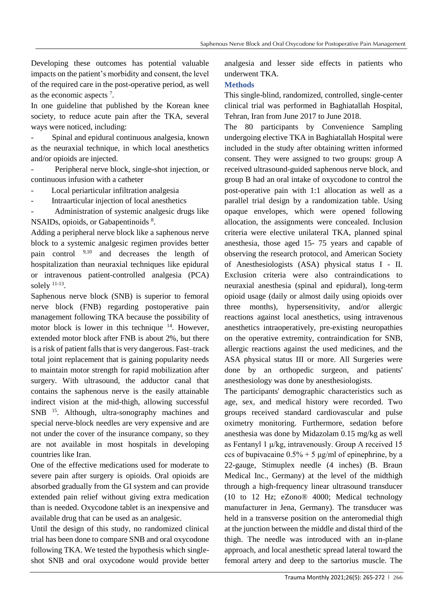Developing these outcomes has potential valuable impacts on the patient's morbidity and consent, the level of the required care in the post-operative period, as well as the economic aspects <sup>7</sup> .

In one guideline that published by the Korean knee society, to reduce acute pain after the TKA, several ways were noticed, including:

Spinal and epidural continuous analgesia, known as the neuraxial technique, in which local anesthetics and/or opioids are injected.

- Peripheral nerve block, single-shot injection, or continuous infusion with a catheter

Local periarticular infiltration analgesia

- Intraarticular injection of local anesthetics

- Administration of systemic analgesic drugs like NSAIDs, opioids, or Gabapentinoids 8.

Adding a peripheral nerve block like a saphenous nerve block to a systemic analgesic regimen provides better pain control 9,10 and decreases the length of hospitalization than neuraxial techniques like epidural or intravenous patient-controlled analgesia (PCA) solely  $11-13$ .

Saphenous nerve block (SNB) is superior to femoral nerve block (FNB) regarding postoperative pain management following TKA because the possibility of motor block is lower in this technique  $14$ . However, extended motor block after FNB is about 2%, but there is a risk of patient falls that is very dangerous. Fast–track total joint replacement that is gaining popularity needs to maintain motor strength for rapid mobilization after surgery. With ultrasound, the adductor canal that contains the saphenous nerve is the easily attainable indirect vision at the mid-thigh, allowing successful SNB <sup>15</sup>. Although, ultra-sonography machines and special nerve-block needles are very expensive and are not under the cover of the insurance company, so they are not available in most hospitals in developing countries like Iran.

One of the effective medications used for moderate to severe pain after surgery is opioids. Oral opioids are absorbed gradually from the GI system and can provide extended pain relief without giving extra medication than is needed. Oxycodone tablet is an inexpensive and available drug that can be used as an analgesic.

Until the design of this study, no randomized clinical trial has been done to compare SNB and oral oxycodone following TKA. We tested the hypothesis which singleshot SNB and oral oxycodone would provide better analgesia and lesser side effects in patients who underwent TKA.

# **Methods**

This single-blind, randomized, controlled, single-center clinical trial was performed in Baghiatallah Hospital, Tehran, Iran from June 2017 to June 2018.

The 80 participants by Convenience Sampling undergoing elective TKA in Baghiatallah Hospital were included in the study after obtaining written informed consent. They were assigned to two groups: group A received ultrasound-guided saphenous nerve block, and group B had an oral intake of oxycodone to control the post-operative pain with 1:1 allocation as well as a parallel trial design by a randomization table. Using opaque envelopes, which were opened following allocation, the assignments were concealed. Inclusion criteria were elective unilateral TKA, planned spinal anesthesia, those aged 15- 75 years and capable of observing the research protocol, and American Society of Anesthesiologists (ASA) physical status I - II. Exclusion criteria were also contraindications to neuraxial anesthesia (spinal and epidural), long-term opioid usage (daily or almost daily using opioids over three months), hypersensitivity, and/or allergic reactions against local anesthetics, using intravenous anesthetics intraoperatively, pre-existing neuropathies on the operative extremity, contraindication for SNB, allergic reactions against the used medicines, and the ASA physical status III or more. All Surgeries were done by an orthopedic surgeon, and patients' anesthesiology was done by anesthesiologists.

The participants' demographic characteristics such as age, sex, and medical history were recorded. Two groups received standard cardiovascular and pulse oximetry monitoring. Furthermore, sedation before anesthesia was done by Midazolam 0.15 mg/kg as well as Fentanyl 1 μ/kg, intravenously. Group A received 15 ccs of bupivacaine  $0.5\% + 5 \mu g/ml$  of epinephrine, by a 22-gauge, Stimuplex needle (4 inches) (B. Braun Medical Inc., Germany) at the level of the midthigh through a high-frequency linear ultrasound transducer (10 to 12 Hz; eZono® 4000; Medical technology manufacturer in Jena, Germany). The transducer was held in a transverse position on the anteromedial thigh at the junction between the middle and distal third of the thigh. The needle was introduced with an in-plane approach, and local anesthetic spread lateral toward the femoral artery and deep to the sartorius muscle. The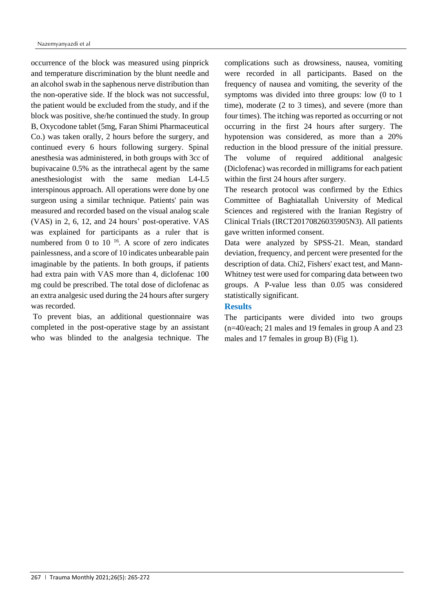occurrence of the block was measured using pinprick and temperature discrimination by the blunt needle and an alcohol swab in the saphenous nerve distribution than the non-operative side. If the block was not successful, the patient would be excluded from the study, and if the block was positive, she/he continued the study. In group B, Oxycodone tablet (5mg, Faran Shimi Pharmaceutical Co.) was taken orally, 2 hours before the surgery, and continued every 6 hours following surgery. Spinal anesthesia was administered, in both groups with 3cc of bupivacaine 0.5% as the intrathecal agent by the same anesthesiologist with the same median L4-L5 interspinous approach. All operations were done by one surgeon using a similar technique. Patients' pain was measured and recorded based on the visual analog scale (VAS) in 2, 6, 12, and 24 hours' post-operative. VAS was explained for participants as a ruler that is numbered from 0 to  $10^{-16}$ . A score of zero indicates painlessness, and a score of 10 indicates unbearable pain imaginable by the patients. In both groups, if patients had extra pain with VAS more than 4, diclofenac 100 mg could be prescribed. The total dose of diclofenac as an extra analgesic used during the 24 hours after surgery was recorded.

To prevent bias, an additional questionnaire was completed in the post-operative stage by an assistant who was blinded to the analgesia technique. The

complications such as drowsiness, nausea, vomiting were recorded in all participants. Based on the frequency of nausea and vomiting, the severity of the symptoms was divided into three groups: low (0 to 1 time), moderate (2 to 3 times), and severe (more than four times). The itching was reported as occurring or not occurring in the first 24 hours after surgery. The hypotension was considered, as more than a 20% reduction in the blood pressure of the initial pressure. The volume of required additional analgesic (Diclofenac) was recorded in milligrams for each patient within the first 24 hours after surgery.

The research protocol was confirmed by the Ethics Committee of Baghiatallah University of Medical Sciences and registered with the Iranian Registry of Clinical Trials (IRCT20170826035905N3). All patients gave written informed consent.

Data were analyzed by SPSS-21. Mean, standard deviation, frequency, and percent were presented for the description of data. Chi2, Fishers' exact test, and Mann-Whitney test were used for comparing data between two groups. A P-value less than 0.05 was considered statistically significant.

# **Results**

The participants were divided into two groups (n=40/each; 21 males and 19 females in group A and 23 males and 17 females in group B) (Fig 1).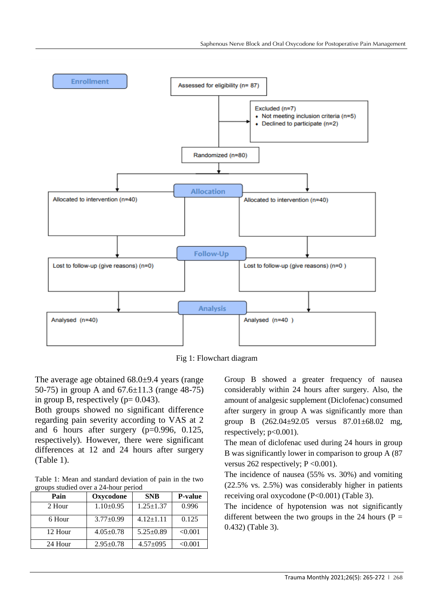

Fig 1: Flowchart diagram

The average age obtained 68.0±9.4 years (range 50-75) in group A and 67.6±11.3 (range 48-75) in group B, respectively ( $p= 0.043$ ).

Both groups showed no significant difference regarding pain severity according to VAS at 2 and 6 hours after surgery (p=0.996, 0.125, respectively). However, there were significant differences at 12 and 24 hours after surgery (Table 1).

Table 1: Mean and standard deviation of pain in the two groups studied over a 24-hour period

| Pain    | Oxycodone       | <b>SNB</b>      | <b>P-value</b> |
|---------|-----------------|-----------------|----------------|
| 2 Hour  | $1.10\pm0.95$   | $1.25 \pm 1.37$ | 0.996          |
| 6 Hour  | $3.77+0.99$     | $4.12 \pm 1.11$ | 0.125          |
| 12 Hour | $4.05 \pm 0.78$ | $5.25 \pm 0.89$ | < 0.001        |
| 24 Hour | $2.95 \pm 0.78$ | $4.57 \pm 0.95$ | < 0.001        |

Group B showed a greater frequency of nausea considerably within 24 hours after surgery. Also, the amount of analgesic supplement (Diclofenac) consumed after surgery in group A was significantly more than group B (262.04±92.05 versus 87.01±68.02 mg, respectively;  $p<0.001$ ).

The mean of diclofenac used during 24 hours in group B was significantly lower in comparison to group A (87 versus 262 respectively;  $P \le 0.001$ ).

The incidence of nausea (55% vs. 30%) and vomiting (22.5% vs. 2.5%) was considerably higher in patients receiving oral oxycodone (P<0.001) (Table 3).

The incidence of hypotension was not significantly different between the two groups in the 24 hours ( $P =$ 0.432) (Table 3).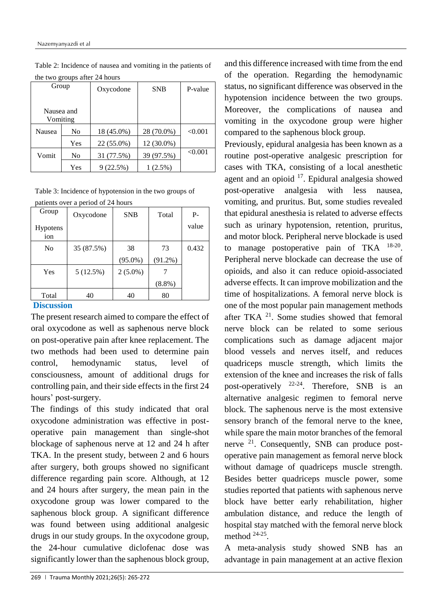| $\mu$ two groups and $2\pi$ from $\sigma$ |     |            |            |         |  |  |  |
|-------------------------------------------|-----|------------|------------|---------|--|--|--|
| Group                                     |     | Oxycodone  | <b>SNB</b> | P-value |  |  |  |
| Nausea and<br>Vomiting                    |     |            |            |         |  |  |  |
| Nausea                                    | No  | 18 (45.0%) | 28 (70.0%) | < 0.001 |  |  |  |
|                                           | Yes | 22 (55.0%) | 12 (30.0%) |         |  |  |  |
| Vomit                                     | No  | 31 (77.5%) | 39 (97.5%) | < 0.001 |  |  |  |
|                                           | Yes | $(22.5\%)$ | $(2.5\%)$  |         |  |  |  |

Table 2: Incidence of nausea and vomiting in the patients of the two groups after  $24$  hours

Table 3: Incidence of hypotension in the two groups of patients over a period of 24 hours

| patients over a period of $24$ flours |            |            |            |       |  |  |  |  |
|---------------------------------------|------------|------------|------------|-------|--|--|--|--|
| Group                                 | Oxycodone  | <b>SNB</b> | Total      | $P -$ |  |  |  |  |
| <b>Hypotens</b><br>ion                |            |            |            | value |  |  |  |  |
| No                                    | 35 (87.5%) | 38         | 73         | 0.432 |  |  |  |  |
|                                       |            | $(95.0\%)$ | $(91.2\%)$ |       |  |  |  |  |
| Yes                                   | 5 (12.5%)  | $2(5.0\%)$ |            |       |  |  |  |  |
|                                       |            |            | $(8.8\%)$  |       |  |  |  |  |
| Total                                 | 40         | 40         | 80         |       |  |  |  |  |

# **Discussion**

The present research aimed to compare the effect of oral oxycodone as well as saphenous nerve block on post-operative pain after knee replacement. The two methods had been used to determine pain control, hemodynamic status, level of consciousness, amount of additional drugs for controlling pain, and their side effects in the first 24 hours' post-surgery.

The findings of this study indicated that oral oxycodone administration was effective in postoperative pain management than single-shot blockage of saphenous nerve at 12 and 24 h after TKA. In the present study, between 2 and 6 hours after surgery, both groups showed no significant difference regarding pain score. Although, at 12 and 24 hours after surgery, the mean pain in the oxycodone group was lower compared to the saphenous block group. A significant difference was found between using additional analgesic drugs in our study groups. In the oxycodone group, the 24-hour cumulative diclofenac dose was significantly lower than the saphenous block group,

and this difference increased with time from the end of the operation. Regarding the hemodynamic status, no significant difference was observed in the hypotension incidence between the two groups. Moreover, the complications of nausea and vomiting in the oxycodone group were higher compared to the saphenous block group.

Previously, epidural analgesia has been known as a routine post-operative analgesic prescription for cases with TKA, consisting of a local anesthetic agent and an opioid  $17$ . Epidural analgesia showed post-operative analgesia with less nausea, vomiting, and pruritus. But, some studies revealed that epidural anesthesia is related to adverse effects such as urinary hypotension, retention, pruritus, and motor block. Peripheral nerve blockade is used to manage postoperative pain of TKA  $^{18-20}$ . Peripheral nerve blockade can decrease the use of opioids, and also it can reduce opioid-associated adverse effects. It can improve mobilization and the time of hospitalizations. A femoral nerve block is one of the most popular pain management methods after TKA  $^{21}$ . Some studies showed that femoral nerve block can be related to some serious complications such as damage adjacent major blood vessels and nerves itself, and reduces quadriceps muscle strength, which limits the extension of the knee and increases the risk of falls post-operatively  $22-24$ . Therefore, SNB is an alternative analgesic regimen to femoral nerve block. The saphenous nerve is the most extensive sensory branch of the femoral nerve to the knee, while spare the main motor branches of the femoral nerve <sup>21</sup>. Consequently, SNB can produce postoperative pain management as femoral nerve block without damage of quadriceps muscle strength. Besides better quadriceps muscle power, some studies reported that patients with saphenous nerve block have better early rehabilitation, higher ambulation distance, and reduce the length of hospital stay matched with the femoral nerve block method 24-25 .

A meta-analysis study showed SNB has an advantage in pain management at an active flexion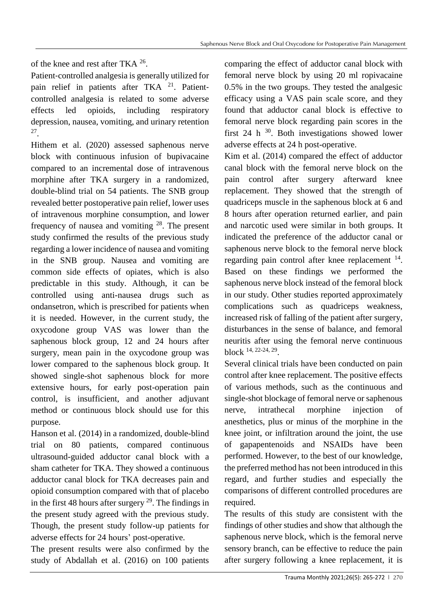of the knee and rest after TKA  $^{26}$ .

Patient‐controlled analgesia is generally utilized for pain relief in patients after TKA  $21$ . Patientcontrolled analgesia is related to some adverse effects led opioids, including respiratory depression, nausea, vomiting, and urinary retention 27 .

Hithem et al. (2020) assessed saphenous nerve block with continuous infusion of bupivacaine compared to an incremental dose of intravenous morphine after TKA surgery in a randomized, double-blind trial on 54 patients. The SNB group revealed better postoperative pain relief, lower uses of intravenous morphine consumption, and lower frequency of nausea and vomiting  $28$ . The present study confirmed the results of the previous study regarding a lower incidence of nausea and vomiting in the SNB group. Nausea and vomiting are common side effects of opiates, which is also predictable in this study. Although, it can be controlled using anti-nausea drugs such as ondansetron, which is prescribed for patients when it is needed. However, in the current study, the oxycodone group VAS was lower than the saphenous block group, 12 and 24 hours after surgery, mean pain in the oxycodone group was lower compared to the saphenous block group. It showed single-shot saphenous block for more extensive hours, for early post-operation pain control, is insufficient, and another adjuvant method or continuous block should use for this purpose.

Hanson et al. (2014) in a randomized, double-blind trial on 80 patients, compared continuous ultrasound-guided adductor canal block with a sham catheter for TKA. They showed a continuous adductor canal block for TKA decreases pain and opioid consumption compared with that of placebo in the first 48 hours after surgery  $2<sup>9</sup>$ . The findings in the present study agreed with the previous study. Though, the present study follow-up patients for adverse effects for 24 hours' post-operative.

The present results were also confirmed by the study of Abdallah et al. (2016) on 100 patients comparing the effect of adductor canal block with femoral nerve block by using 20 ml ropivacaine 0.5% in the two groups. They tested the analgesic efficacy using a VAS pain scale score, and they found that adductor canal block is effective to femoral nerve block regarding pain scores in the first 24 h  $30$ . Both investigations showed lower adverse effects at 24 h post-operative.

Kim et al. (2014) compared the effect of adductor canal block with the femoral nerve block on the pain control after surgery afterward knee replacement. They showed that the strength of quadriceps muscle in the saphenous block at 6 and 8 hours after operation returned earlier, and pain and narcotic used were similar in both groups. It indicated the preference of the adductor canal or saphenous nerve block to the femoral nerve block regarding pain control after knee replacement <sup>14</sup>. Based on these findings we performed the saphenous nerve block instead of the femoral block in our study. Other studies reported approximately complications such as quadriceps weakness, increased risk of falling of the patient after surgery, disturbances in the sense of balance, and femoral neuritis after using the femoral nerve continuous block 14, 22-24, 29 .

Several clinical trials have been conducted on pain control after knee replacement. The positive effects of various methods, such as the continuous and single-shot blockage of femoral nerve or saphenous nerve, intrathecal morphine injection of anesthetics, plus or minus of the morphine in the knee joint, or infiltration around the joint, the use of gapapentenoids and NSAIDs have been performed. However, to the best of our knowledge, the preferred method has not been introduced in this regard, and further studies and especially the comparisons of different controlled procedures are required.

The results of this study are consistent with the findings of other studies and show that although the saphenous nerve block, which is the femoral nerve sensory branch, can be effective to reduce the pain after surgery following a knee replacement, it is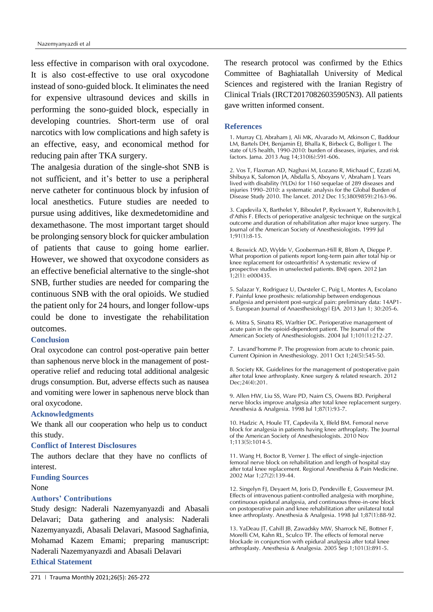less effective in comparison with oral oxycodone. It is also cost-effective to use oral oxycodone instead of sono-guided block. It eliminates the need for expensive ultrasound devices and skills in performing the sono-guided block, especially in developing countries. Short-term use of oral narcotics with low complications and high safety is an effective, easy, and economical method for reducing pain after TKA surgery.

The analgesia duration of the single-shot SNB is not sufficient, and it's better to use a peripheral nerve catheter for continuous block by infusion of local anesthetics. Future studies are needed to pursue using additives, like dexmedetomidine and dexamethasone. The most important target should be prolonging sensory block for quicker ambulation of patients that cause to going home earlier. However, we showed that oxycodone considers as an effective beneficial alternative to the single-shot SNB, further studies are needed for comparing the continuous SNB with the oral opioids. We studied the patient only for 24 hours, and longer follow-ups could be done to investigate the rehabilitation outcomes.

# **Conclusion**

Oral oxycodone can control post-operative pain better than saphenous nerve block in the management of postoperative relief and reducing total additional analgesic drugs consumption. But, adverse effects such as nausea and vomiting were lower in saphenous nerve block than oral oxycodone.

#### **Acknowledgments**

We thank all our cooperation who help us to conduct this study.

#### **Conflict of Interest Disclosures**

The authors declare that they have no conflicts of interest.

#### **Funding Sources**

## None

# **Authors' Contributions**

Study design: Naderali Nazemyanyazdi and Abasali Delavari; Data gathering and analysis: Naderali Nazemyanyazdi, Abasali Delavari, Masood Saghafinia, Mohamad Kazem Emami; preparing manuscript: Naderali Nazemyanyazdi and Abasali Delavari **Ethical Statement**

The research protocol was confirmed by the Ethics Committee of Baghiatallah University of Medical Sciences and registered with the Iranian Registry of Clinical Trials (IRCT20170826035905N3). All patients gave written informed consent.

#### **References**

1. Murray CJ, Abraham J, Ali MK, Alvarado M, Atkinson C, Baddour LM, Bartels DH, Benjamin EJ, Bhalla K, Birbeck G, Bolliger I. The state of US health, 1990-2010: burden of diseases, injuries, and risk factors. Jama. 2013 Aug 14;310(6):591-606.

2. Vos T, Flaxman AD, Naghavi M, Lozano R, Michaud C, Ezzati M, Shibuya K, Salomon JA, Abdalla S, Aboyans V, Abraham J. Years lived with disability (YLDs) for 1160 sequelae of 289 diseases and injuries 1990–2010: a systematic analysis for the Global Burden of Disease Study 2010. The lancet. 2012 Dec 15;380(9859):2163-96.

3. Capdevila X, Barthelet Y, Biboulet P, Ryckwaert Y, Rubenovitch J, d'Athis F. Effects of perioperative analgesic technique on the surgical outcome and duration of rehabilitation after major knee surgery. The Journal of the American Society of Anesthesiologists. 1999 Jul 1;91(1):8-15.

4. Beswick AD, Wylde V, Gooberman-Hill R, Blom A, Dieppe P. What proportion of patients report long-term pain after total hip or knee replacement for osteoarthritis? A systematic review of prospective studies in unselected patients. BMJ open. 2012 Jan  $1:2(1): 6000435.$ 

5. Salazar Y, Rodriguez U, Dursteler C, Puig L, Montes A, Escolano F. Painful knee prosthesis: relationship between endogenous analgesia and persistent post-surgical pain: preliminary data: 14AP1- 5. European Journal of Anaesthesiology| EJA. 2013 Jun 1; 30:205-6.

6. Mitra S, Sinatra RS, Warltier DC. Perioperative management of acute pain in the opioid-dependent patient. The Journal of the American Society of Anesthesiologists. 2004 Jul 1;101(1):212-27.

7. Lavand'homme P. The progression from acute to chronic pain. Current Opinion in Anesthesiology. 2011 Oct 1;24(5):545-50.

8. Society KK. Guidelines for the management of postoperative pain after total knee arthroplasty. Knee surgery & related research. 2012 Dec;24(4):201.

9. Allen HW, Liu SS, Ware PD, Nairn CS, Owens BD. Peripheral nerve blocks improve analgesia after total knee replacement surgery. Anesthesia & Analgesia. 1998 Jul 1;87(1):93-7.

10. Hadzic A, Houle TT, Capdevila X, Ilfeld BM. Femoral nerve block for analgesia in patients having knee arthroplasty. The Journal of the American Society of Anesthesiologists. 2010 Nov 1;113(5):1014-5.

11. Wang H, Boctor B, Verner J. The effect of single-injection femoral nerve block on rehabilitation and length of hospital stay after total knee replacement. Regional Anesthesia & Pain Medicine. 2002 Mar 1;27(2):139-44.

12. Singelyn FJ, Deyaert M, Joris D, Pendeville E, Gouverneur JM. Effects of intravenous patient-controlled analgesia with morphine, continuous epidural analgesia, and continuous three-in-one block on postoperative pain and knee rehabilitation after unilateral total knee arthroplasty. Anesthesia & Analgesia. 1998 Jul 1;87(1):88-92.

13. YaDeau JT, Cahill JB, Zawadsky MW, Sharrock NE, Bottner F, Morelli CM, Kahn RL, Sculco TP. The effects of femoral nerve blockade in conjunction with epidural analgesia after total knee arthroplasty. Anesthesia & Analgesia. 2005 Sep 1;101(3):891-5.